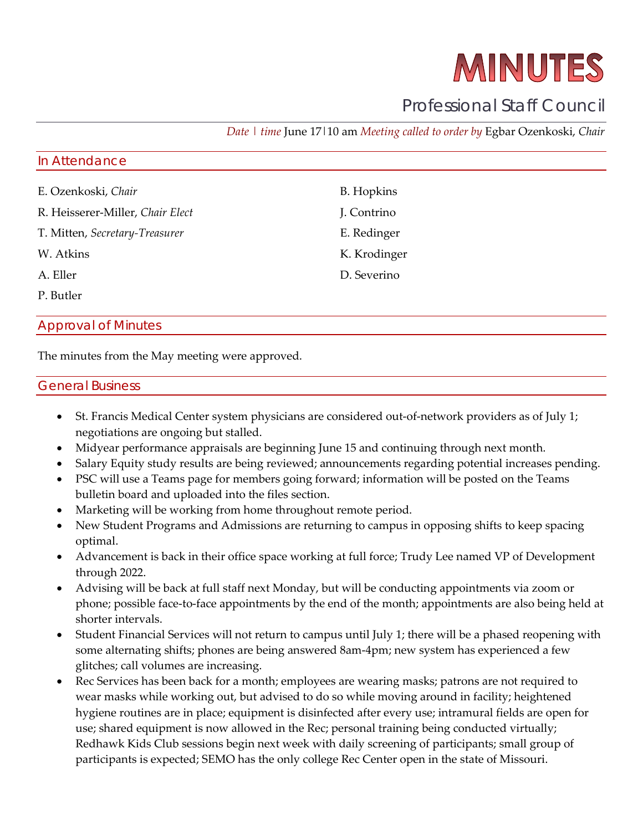# MINUTES

## Professional Staff Council

*Date | time* June 17|10 am *Meeting called to order by* Egbar Ozenkoski, *Chair*

### In Attendance

| E. Ozenkoski, Chair              | B. Hopkins   |
|----------------------------------|--------------|
| R. Heisserer-Miller, Chair Elect | J. Contrino  |
| T. Mitten, Secretary-Treasurer   | E. Redinger  |
| W. Atkins                        | K. Krodinger |
| A. Eller                         | D. Severino  |
| P. Butler                        |              |

### Approval of Minutes

The minutes from the May meeting were approved.

#### General Business

- St. Francis Medical Center system physicians are considered out-of-network providers as of July 1; negotiations are ongoing but stalled.
- Midyear performance appraisals are beginning June 15 and continuing through next month.
- Salary Equity study results are being reviewed; announcements regarding potential increases pending.
- PSC will use a Teams page for members going forward; information will be posted on the Teams bulletin board and uploaded into the files section.
- Marketing will be working from home throughout remote period.
- New Student Programs and Admissions are returning to campus in opposing shifts to keep spacing optimal.
- Advancement is back in their office space working at full force; Trudy Lee named VP of Development through 2022.
- Advising will be back at full staff next Monday, but will be conducting appointments via zoom or phone; possible face-to-face appointments by the end of the month; appointments are also being held at shorter intervals.
- Student Financial Services will not return to campus until July 1; there will be a phased reopening with some alternating shifts; phones are being answered 8am-4pm; new system has experienced a few glitches; call volumes are increasing.
- Rec Services has been back for a month; employees are wearing masks; patrons are not required to wear masks while working out, but advised to do so while moving around in facility; heightened hygiene routines are in place; equipment is disinfected after every use; intramural fields are open for use; shared equipment is now allowed in the Rec; personal training being conducted virtually; Redhawk Kids Club sessions begin next week with daily screening of participants; small group of participants is expected; SEMO has the only college Rec Center open in the state of Missouri.